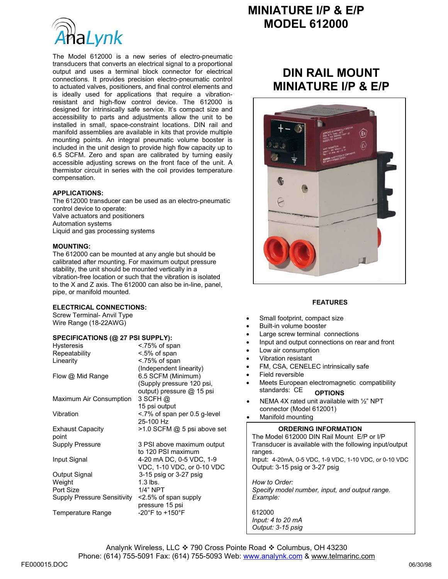

The Model 612000 is a new series of electro-pneumatic transducers that converts an electrical signal to a proportional output and uses a terminal block connector for electrical connections. It provides precision electro-pneumatic control to actuated valves, positioners, and final control elements and is ideally used for applications that require a vibrationresistant and high-flow control device. The 612000 is designed for intrinsically safe service. It's compact size and accessibility to parts and adjustments allow the unit to be installed in small, space-constraint locations. DIN rail and manifold assemblies are available in kits that provide multiple mounting points. An integral pneumatic volume booster is included in the unit design to provide high flow capacity up to 6.5 SCFM. Zero and span are calibrated by turning easily accessible adjusting screws on the front face of the unit. A thermistor circuit in series with the coil provides temperature compensation.

### **APPLICATIONS:**

The 612000 transducer can be used as an electro-pneumatic control device to operate: Valve actuators and positioners Automation systems Liquid and gas processing systems

### **MOUNTING:**

The 612000 can be mounted at any angle but should be calibrated after mounting. For maximum output pressure stability, the unit should be mounted vertically in a vibration-free location or such that the vibration is isolated to the X and Z axis. The 612000 can also be in-line, panel, pipe, or manifold mounted.

### **ELECTRICAL CONNECTIONS:**

Screw Terminal- Anvil Type Wire Range (18-22AWG)

### **SPECIFICATIONS (@ 27 PSI SUPPLY):**

| <b>Hysteresis</b>           | <.75% of span                       |
|-----------------------------|-------------------------------------|
| Repeatability               | <.5% of span                        |
| Linearity                   | <.75% of span                       |
|                             | (Independent linearity)             |
| Flow @ Mid Range            | 6.5 SCFM (Minimum)                  |
|                             | (Supply pressure 120 psi,           |
|                             | output) pressure @ 15 psi           |
| Maximum Air Consumption     | 3 SCFH@                             |
|                             | 15 psi output                       |
| Vibration                   | <.7% of span per 0.5 g-level        |
|                             | 25-100 Hz                           |
| <b>Exhaust Capacity</b>     | >1.0 SCFM @ 5 psi above set         |
| point                       |                                     |
| Supply Pressure             | 3 PSI above maximum output          |
|                             | to 120 PSI maximum                  |
| Input Signal                | 4-20 mA DC, 0-5 VDC, 1-9            |
|                             | VDC, 1-10 VDC, or 0-10 VDC          |
| Output Signal               | 3-15 psig or 3-27 psig              |
| Weight                      | $1.3$ lbs.                          |
| Port Size                   | 1/4" NPT                            |
| Supply Pressure Sensitivity | $\leq$ 2.5% of span supply          |
|                             | pressure 15 psi                     |
| <b>Temperature Range</b>    | -20 $\degree$ F to +150 $\degree$ F |

# **MINIATURE I/P & E/P MODEL 612000**

# **DIN RAIL MOUNT MINIATURE I/P & E/P**



#### **FEATURES**

- Small footprint, compact size
- Built-in volume booster
	- Large screw terminal connections
- Input and output connections on rear and front
- Low air consumption
- Vibration resistant
- FM, CSA, CENELEC intrinsically safe
- Field reversible
- Meets European electromagnetic compatibility standards: CE **OPTIONS**
- NEMA 4X rated unit available with ½" NPT connector (Model 612001)
- Manifold mounting

## **ORDERING INFORMATION**

The Model 612000 DIN Rail Mount E/P or I/P Transducer is available with the following input/output ranges. Input: 4-20mA, 0-5 VDC, 1-9 VDC, 1-10 VDC, or 0-10 VDC Output: 3-15 psig or 3-27 psig *How to Order:* 

*Specify model number, input, and output range. Example:* 

612000 *Input: 4 to 20 mA Output: 3-15 psig*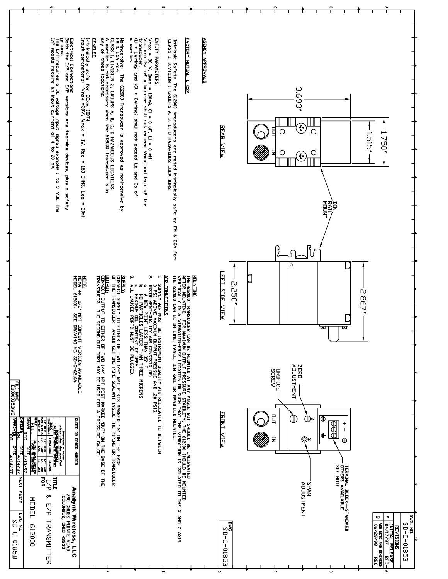